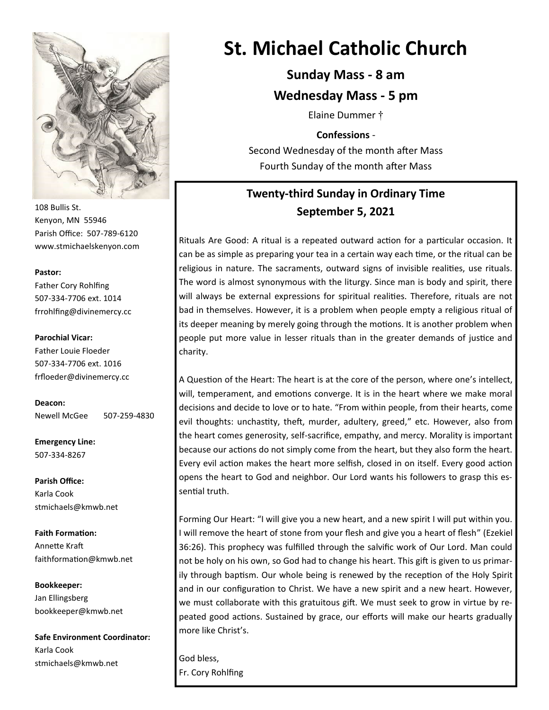

108 Bullis St. Kenyon, MN 55946 Parish Office: 507-789-6120 www.stmichaelskenyon.com

#### **Pastor:**

Father Cory Rohlfing 507-334-7706 ext. 1014 frrohlfing@divinemercy.cc

#### **Parochial Vicar:**

Father Louie Floeder 507-334-7706 ext. 1016 frfloeder@divinemercy.cc

**Deacon:**  Newell McGee 507-259-4830

**Emergency Line:** 507-334-8267

**Parish Office:**  Karla Cook stmichaels@kmwb.net

**Faith Formation:**  Annette Kraft faithformation@kmwb.net

**Bookkeeper:**  Jan Ellingsberg bookkeeper@kmwb.net

**Safe Environment Coordinator:** Karla Cook stmichaels@kmwb.net

# **St. Michael Catholic Church**

**Sunday Mass - 8 am**

**Wednesday Mass - 5 pm**

Elaine Dummer †

**Confessions** -

Second Wednesday of the month after Mass Fourth Sunday of the month after Mass

# **Twenty-third Sunday in Ordinary Time September 5, 2021**

Rituals Are Good: A ritual is a repeated outward action for a particular occasion. It can be as simple as preparing your tea in a certain way each time, or the ritual can be religious in nature. The sacraments, outward signs of invisible realities, use rituals. The word is almost synonymous with the liturgy. Since man is body and spirit, there will always be external expressions for spiritual realities. Therefore, rituals are not bad in themselves. However, it is a problem when people empty a religious ritual of its deeper meaning by merely going through the motions. It is another problem when people put more value in lesser rituals than in the greater demands of justice and charity.

A Question of the Heart: The heart is at the core of the person, where one's intellect, will, temperament, and emotions converge. It is in the heart where we make moral decisions and decide to love or to hate. "From within people, from their hearts, come evil thoughts: unchastity, theft, murder, adultery, greed," etc. However, also from the heart comes generosity, self-sacrifice, empathy, and mercy. Morality is important because our actions do not simply come from the heart, but they also form the heart. Every evil action makes the heart more selfish, closed in on itself. Every good action opens the heart to God and neighbor. Our Lord wants his followers to grasp this essential truth.

Forming Our Heart: "I will give you a new heart, and a new spirit I will put within you. I will remove the heart of stone from your flesh and give you a heart of flesh" (Ezekiel 36:26). This prophecy was fulfilled through the salvific work of Our Lord. Man could not be holy on his own, so God had to change his heart. This gift is given to us primarily through baptism. Our whole being is renewed by the reception of the Holy Spirit and in our configuration to Christ. We have a new spirit and a new heart. However, we must collaborate with this gratuitous gift. We must seek to grow in virtue by repeated good actions. Sustained by grace, our efforts will make our hearts gradually more like Christ's.

God bless, Fr. Cory Rohlfing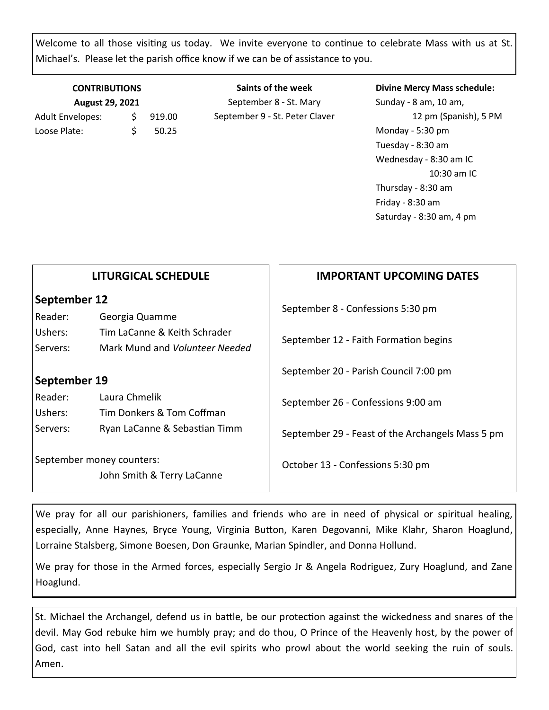Welcome to all those visiting us today. We invite everyone to continue to celebrate Mass with us at St. Michael's. Please let the parish office know if we can be of assistance to you.

## **CONTRIBUTIONS August 29, 2021** Adult Envelopes:  $\frac{1}{2}$  919.00 Loose Plate: \$ 50.25

**Saints of the week** September 8 - St. Mary September 9 - St. Peter Claver

#### **Divine Mercy Mass schedule:**

Sunday - 8 am, 10 am, 12 pm (Spanish), 5 PM Monday - 5:30 pm Tuesday - 8:30 am Wednesday - 8:30 am IC 10:30 am IC Thursday - 8:30 am Friday - 8:30 am Saturday - 8:30 am, 4 pm

| <b>IMPORTANT UPCOMING DATES</b>                                     |                                                  |
|---------------------------------------------------------------------|--------------------------------------------------|
| September 12<br>September 8 - Confessions 5:30 pm<br>Georgia Quamme |                                                  |
|                                                                     | September 12 - Faith Formation begins            |
| September 20 - Parish Council 7:00 pm                               |                                                  |
| September 19                                                        |                                                  |
| September 26 - Confessions 9:00 am                                  |                                                  |
|                                                                     | September 29 - Feast of the Archangels Mass 5 pm |
| October 13 - Confessions 5:30 pm                                    |                                                  |
|                                                                     |                                                  |

We pray for all our parishioners, families and friends who are in need of physical or spiritual healing, especially, Anne Haynes, Bryce Young, Virginia Button, Karen Degovanni, Mike Klahr, Sharon Hoaglund, Lorraine Stalsberg, Simone Boesen, Don Graunke, Marian Spindler, and Donna Hollund.

We pray for those in the Armed forces, especially Sergio Jr & Angela Rodriguez, Zury Hoaglund, and Zane Hoaglund.

St. Michael the Archangel, defend us in battle, be our protection against the wickedness and snares of the devil. May God rebuke him we humbly pray; and do thou, O Prince of the Heavenly host, by the power of God, cast into hell Satan and all the evil spirits who prowl about the world seeking the ruin of souls. Amen.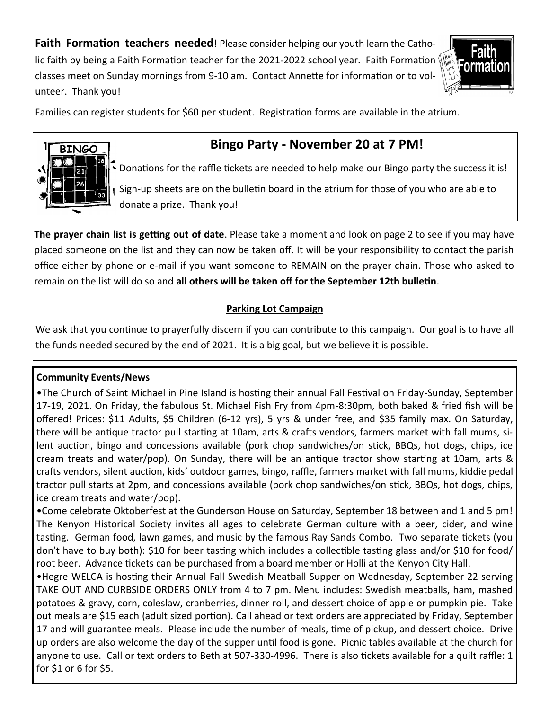**Faith Formation teachers needed**! Please consider helping our youth learn the Catholic faith by being a Faith Formation teacher for the 2021-2022 school year. Faith Formation  $\mathbb Q$ classes meet on Sunday mornings from 9-10 am. Contact Annette for information or to volunteer. Thank you!



Families can register students for \$60 per student. Registration forms are available in the atrium.



# **Bingo Party - November 20 at 7 PM!**

 $\left| \cdot \right|$  Donations for the raffle tickets are needed to help make our Bingo party the success it is! Sign-up sheets are on the bulletin board in the atrium for those of you who are able to donate a prize. Thank you!

**The prayer chain list is getting out of date**. Please take a moment and look on page 2 to see if you may have placed someone on the list and they can now be taken off. It will be your responsibility to contact the parish office either by phone or e-mail if you want someone to REMAIN on the prayer chain. Those who asked to remain on the list will do so and **all others will be taken off for the September 12th bulletin**.

## **Parking Lot Campaign**

We ask that you continue to prayerfully discern if you can contribute to this campaign. Our goal is to have all the funds needed secured by the end of 2021. It is a big goal, but we believe it is possible.

## **Community Events/News**

•The Church of Saint Michael in Pine Island is hosting their annual Fall Festival on Friday-Sunday, September 17-19, 2021. On Friday, the fabulous St. Michael Fish Fry from 4pm-8:30pm, both baked & fried fish will be offered! Prices: \$11 Adults, \$5 Children (6-12 yrs), 5 yrs & under free, and \$35 family max. On Saturday, there will be antique tractor pull starting at 10am, arts & crafts vendors, farmers market with fall mums, silent auction, bingo and concessions available (pork chop sandwiches/on stick, BBQs, hot dogs, chips, ice cream treats and water/pop). On Sunday, there will be an antique tractor show starting at 10am, arts & crafts vendors, silent auction, kids' outdoor games, bingo, raffle, farmers market with fall mums, kiddie pedal tractor pull starts at 2pm, and concessions available (pork chop sandwiches/on stick, BBQs, hot dogs, chips, ice cream treats and water/pop).

•Come celebrate Oktoberfest at the Gunderson House on Saturday, September 18 between and 1 and 5 pm! The Kenyon Historical Society invites all ages to celebrate German culture with a beer, cider, and wine tasting. German food, lawn games, and music by the famous Ray Sands Combo. Two separate tickets (you don't have to buy both): \$10 for beer tasting which includes a collectible tasting glass and/or \$10 for food/ root beer. Advance tickets can be purchased from a board member or Holli at the Kenyon City Hall.

•Hegre WELCA is hosting their Annual Fall Swedish Meatball Supper on Wednesday, September 22 serving TAKE OUT AND CURBSIDE ORDERS ONLY from 4 to 7 pm. Menu includes: Swedish meatballs, ham, mashed potatoes & gravy, corn, coleslaw, cranberries, dinner roll, and dessert choice of apple or pumpkin pie. Take out meals are \$15 each (adult sized portion). Call ahead or text orders are appreciated by Friday, September 17 and will guarantee meals. Please include the number of meals, time of pickup, and dessert choice. Drive up orders are also welcome the day of the supper until food is gone. Picnic tables available at the church for anyone to use. Call or text orders to Beth at 507-330-4996. There is also tickets available for a quilt raffle: 1 for \$1 or 6 for \$5.